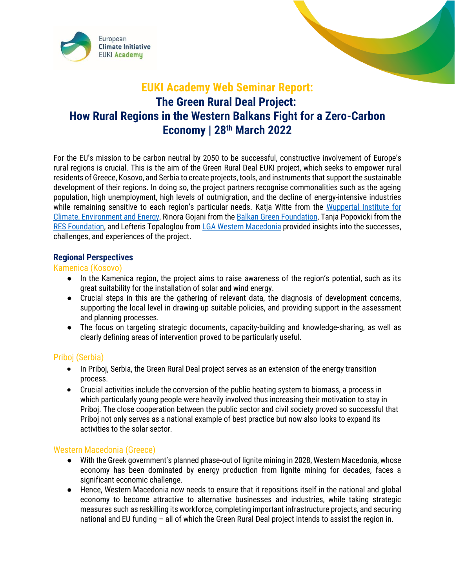



For the EU's mission to be carbon neutral by 2050 to be successful, constructive involvement of Europe's rural regions is crucial. This is the aim of the Green Rural Deal EUKI project, which seeks to empower rural residents of Greece, Kosovo, and Serbia to create projects, tools, and instruments that support the sustainable development of their regions. In doing so, the project partners recognise commonalities such as the ageing population, high unemployment, high levels of outmigration, and the decline of energy-intensive industries while remaining sensitive to each region's particular needs. Katja Witte from the Wuppertal Institute for [Climate, Environment and Energy,](https://wupperinst.org/en/c/wi/c/s/cd/274) Rinora Gojani from th[e Balkan Green Foundation,](https://www.balkangreenfoundation.org/en-us/about/#the-board) Tanja Popovicki from the [RES Foundation,](https://www.resfoundation.org/our-team/) and Lefteris Topaloglou fro[m LGA Western Macedonia](https://www.peddm.gov.gr/index.php/ylopoiisis-toy-ergoy-me-ton-titlo-green-rural-deal/) provided insights into the successes, challenges, and experiences of the project.

### **Regional Perspectives**

#### Kamenica (Kosovo)

- In the Kamenica region, the project aims to raise awareness of the region's potential, such as its great suitability for the installation of solar and wind energy.
- Crucial steps in this are the gathering of relevant data, the diagnosis of development concerns, supporting the local level in drawing-up suitable policies, and providing support in the assessment and planning processes.
- The focus on targeting strategic documents, capacity-building and knowledge-sharing, as well as clearly defining areas of intervention proved to be particularly useful.

# Priboj (Serbia)

- In Priboj, Serbia, the Green Rural Deal project serves as an extension of the energy transition process.
- Crucial activities include the conversion of the public heating system to biomass, a process in which particularly young people were heavily involved thus increasing their motivation to stay in Priboj. The close cooperation between the public sector and civil society proved so successful that Priboj not only serves as a national example of best practice but now also looks to expand its activities to the solar sector.

# Western Macedonia (Greece)

- With the Greek government's planned phase-out of lignite mining in 2028, Western Macedonia, whose economy has been dominated by energy production from lignite mining for decades, faces a significant economic challenge.
- Hence, Western Macedonia now needs to ensure that it repositions itself in the national and global economy to become attractive to alternative businesses and industries, while taking strategic measures such as reskilling its workforce, completing important infrastructure projects, and securing national and EU funding – all of which the Green Rural Deal project intends to assist the region in.